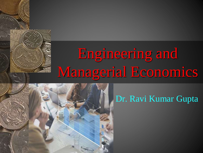# Engineering and Managerial Economics



#### Dr. Ravi Kumar Gupta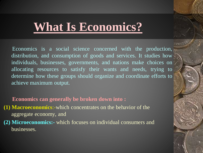# **What Is Economics?**

Economics is a social science concerned with the production, distribution, and consumption of goods and services. It studies how individuals, businesses, governments, and nations make choices on allocating resources to satisfy their wants and needs, trying to determine how these groups should organize and coordinate efforts to achieve maximum output.

#### **Economics can generally be broken down into :**

- **(1) Macroeconomics**:-which concentrates on the behavior of the aggregate economy, and
- **(2) Microeconomics:-** which focuses on individual consumers and businesses.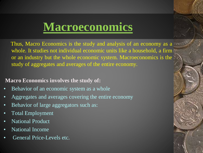# **Macroeconomics**

Thus, Macro Economics is the study and analysis of an economy as a whole. It studies not individual economic units like a household, a firm or an industry but the whole economic system. Macroeconomics is the study of aggregates and averages of the entire economy.

#### **Macro Economics involves the study of:**

- Behavior of an economic system as a whole
- Aggregates and averages covering the entire economy
- Behavior of large aggregators such as:
- Total Employment
- National Product
- National Income
- General Price-Levels etc.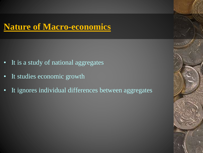#### **Nature of Macro-economics**

- It is a study of national aggregates
- It studies economic growth
- It ignores individual differences between aggregates

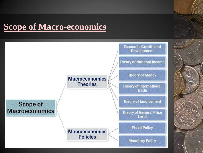### **Scope of Macro-economics**

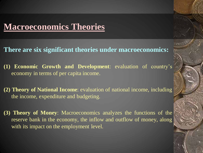#### **Macroeconomics Theories**

#### **There are six significant theories under macroeconomics:**

- **(1) Economic Growth and Development**: evaluation of country's economy in terms of per capita income.
- **(2) Theory of National Income**: evaluation of national income, including the income, expenditure and budgeting.
- **(3) Theory of Money**: Macroeconomics analyzes the functions of the reserve bank in the economy, the inflow and outflow of money, along with its impact on the employment level.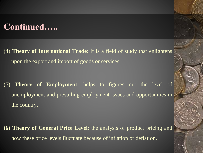#### **Continued…..**

(4) **Theory of International Trade**: It is a field of study that enlightens upon the export and import of goods or services.

(5) **Theory of Employment**: helps to figures out the level of unemployment and prevailing employment issues and opportunities in the country.

**(6) Theory of General Price Level**: the analysis of product pricing and how these price levels fluctuate because of inflation or deflation.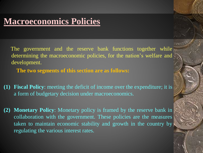#### **Macroeconomics Policies**

The government and the reserve bank functions together while determining the macroeconomic policies, for the nation's welfare and development.

**The two segments of this section are as follows:**

- **(1) Fiscal Policy**: meeting the deficit of income over the expenditure; it is a form of budgetary decision under macroeconomics.
- **(2) Monetary Policy**: Monetary policy is framed by the reserve bank in collaboration with the government. These policies are the measures taken to maintain economic stability and growth in the country by regulating the various interest rates.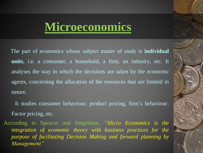## **Microeconomics**

The part of economics whose subject matter of study is **individual units**, i.e. a consumer, a household, a firm, an industry, etc. It analyses the way in which the decisions are taken by the economic agents, concerning the allocation of the resources that are limited in nature.

It studies consumer behaviour, product pricing, firm's behaviour. Factor pricing, etc.

According to Spencer and Siegelman, *"Micro Economics is the integration of economic theory with business practices for the purpose of facilitating Decision Making and forward planning by Management"*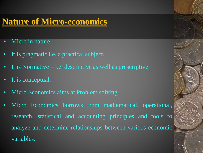#### **Nature of Micro-economics**

- Micro in nature.
- It is pragmatic i.e. a practical subject.
- It is Normative i.e. descriptive as well as prescriptive.
- It is conceptual.
- Micro Economics aims at Problem solving.
- Micro Economics borrows from mathematical, operational, research, statistical and accounting principles and tools to analyze and determine relationships between various economic variables.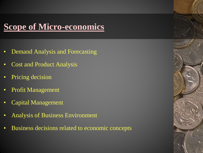### **Scope of Micro-economics**

- Demand Analysis and Forecasting
- Cost and Product Analysis
- Pricing decision
- Profit Management
- Capital Management
- Analysis of Business Environment
- Business decisions related to economic concepts

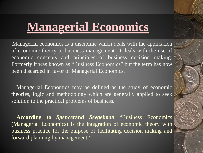# **Managerial Economics**

Managerial economics is a discipline which deals with the application of economic theory to business management. It deals with the use of economic concepts and principles of business decision making. Formerly it was known as "Business Economics" but the term has now been discarded in favor of Managerial Economics.

Managerial Economics may be defined as the study of economic theories, logic and methodology which are generally applied to seek solution to the practical problems of business.

**According to** *Spencer***and** *Seegelman* "Business Economics (Managerial Economics) is the integration of economic theory with business practice for the purpose of facilitating decision making and forward planning by management."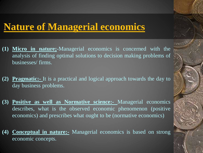### **Nature of Managerial economics**

- **(1) Micro in nature;**-Managerial economics is concerned with the analysis of finding optimal solutions to decision making problems of businesses/ firms.
- **(2) Pragmatic:-** It is a practical and logical approach towards the day to day business problems.
- **(3) Positive as well as Normative science:-** Managerial economics describes, what is the observed economic phenomenon (positive economics) and prescribes what ought to be (normative economics)
- **(4) Conceptual in nature:-** Managerial economics is based on strong economic concepts.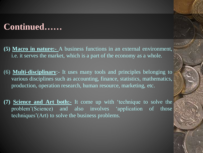#### **Continued……**

- **(5) Macro in nature:-** A business functions in an external environment, i.e. it serves the market, which is a part of the economy as a whole.
- (6) **Multi-disciplinary**:- It uses many tools and principles belonging to various disciplines such as accounting, finance, statistics, mathematics, production, operation research, human resource, marketing, etc.
- **(7) Science and Art both:-** It come up with 'technique to solve the problem'(Science) and also involves 'application of those techniques'(Art) to solve the business problems.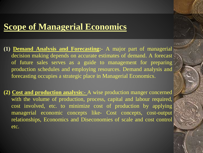#### **Scope of Managerial Economics**

- **(1) Demand Analysis and Forecasting:-** A major part of managerial decision making depends on accurate estimates of demand. A forecast of future sales serves as a guide to management for preparing production schedules and employing resources. Demand analysis and forecasting occupies a strategic place in Managerial Economics.
- **(2) Cost and production analysis**:- A wise production manger concerned with the volume of production, process, capital and labour required, cost involved, etc. to minimize cost of production by applying managerial economic concepts like- Cost concepts, cost-output relationships, Economics and Diseconomies of scale and cost control etc.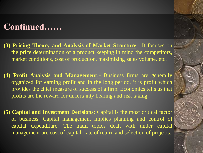#### **Continued……**

- **(3) Pricing Theory and Analysis of Market Structure**:- It focuses on the price determination of a product keeping in mind the competitors, market conditions, cost of production, maximizing sales volume, etc.
- **(4) Profit Analysis and Management:-** Business firms are generally organized for earning profit and in the long period, it is profit which provides the chief measure of success of a firm. Economics tells us that profits are the reward for uncertainty bearing and risk taking.
- **(5) Capital and Investment Decisions**: Capital is the most critical factor of business. Capital management implies planning and control of capital expenditure. The main topics dealt with under capital management are cost of capital, rate of return and selection of projects.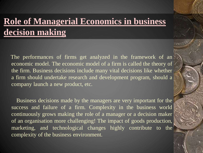## **Role of Managerial Economics in business decision making**

The performances of firms get analyzed in the framework of an economic model. The economic model of a firm is called the theory of the firm. Business decisions include many vital decisions like whether a firm should undertake research and development program, should a company launch a new product, etc.

Business decisions made by the managers are very important for the success and failure of a firm. Complexity in the business world continuously grows making the role of a manager or a decision maker of an organisation more challenging! The impact of goods production, marketing, and technological changes highly contribute to the complexity of the business environment.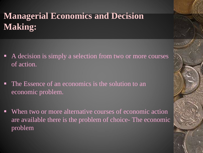## **Managerial Economics and Decision Making:**

- A decision is simply a selection from two or more courses of action.
- The Essence of an economics is the solution to an economic problem.
- When two or more alternative courses of economic action are available there is the problem of choice- The economic problem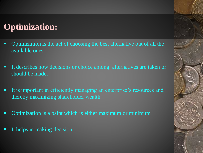### **Optimization:**

- Optimization is the act of choosing the best alternative out of all the available ones.
- It describes how decisions or choice among alternatives are taken or should be made.
- It is important in efficiently managing an enterprise's resources and thereby maximizing shareholder wealth.
- Optimization is a paint which is either maximum or minimum.
- It helps in making decision.

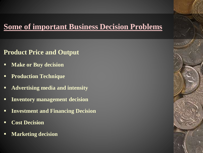#### **Some of important Business Decision Problems**

#### **Product Price and Output**

- **Make or Buy decision**
- **Production Technique**
- **Advertising media and intensity**
- **Inventory management decision**
- **Investment and Financing Decision**
- **Cost Decision**
- **Marketing decision**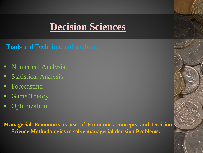## **Decision Sciences**

**Tools** and Techniques of analysis:

- **Numerical Analysis**
- **Statistical Analysis**
- Forecasting
- Game Theory
- **-** Optimization

**Managerial Economics is use of Economics concepts and Decision Science Methodologies to solve managerial decision Problems.**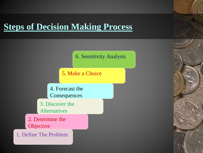#### **Steps of Decision Making Process**



5. Make a Choice

4. Forecast the **Consequences** 

3. Discover the Alternatives

2. Determine the **Objective** 

1. Define The Problem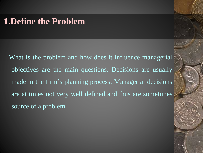#### **1.Define the Problem**

What is the problem and how does it influence managerial. objectives are the main questions. Decisions are usually made in the firm's planning process. Managerial decisions are at times not very well defined and thus are sometimes source of a problem.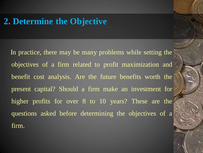#### **2. Determine the Objective**

In practice, there may be many problems while setting the objectives of a firm related to profit maximization and benefit cost analysis. Are the future benefits worth the present capital? Should a firm make an investment for higher profits for over 8 to 10 years? These are the questions asked before determining the objectives of a firm.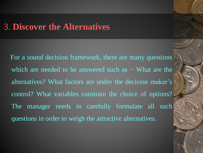#### 3. **Discover the Alternatives**

For a sound decision framework, there are many questions which are needed to be answered such as – What are the alternatives? What factors are under the decision maker's control? What variables constrain the choice of options? The manager needs to carefully formulate all such questions in order to weigh the attractive alternatives.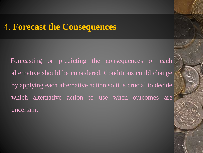#### 4. **Forecast the Consequences**

Forecasting or predicting the consequences of each alternative should be considered. Conditions could change by applying each alternative action so it is crucial to decide which alternative action to use when outcomes are uncertain.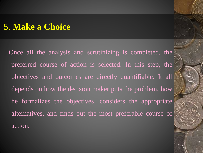#### 5. **Make a Choice**

Once all the analysis and scrutinizing is completed, the preferred course of action is selected. In this step, the objectives and outcomes are directly quantifiable. It all depends on how the decision maker puts the problem, how he formalizes the objectives, considers the appropriate alternatives, and finds out the most preferable course of action.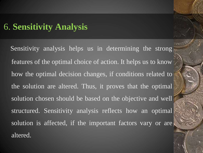#### 6. **Sensitivity Analysis**

Sensitivity analysis helps us in determining the strong features of the optimal choice of action. It helps us to know how the optimal decision changes, if conditions related to the solution are altered. Thus, it proves that the optimal solution chosen should be based on the objective and well structured. Sensitivity analysis reflects how an optimal solution is affected, if the important factors vary or are altered.